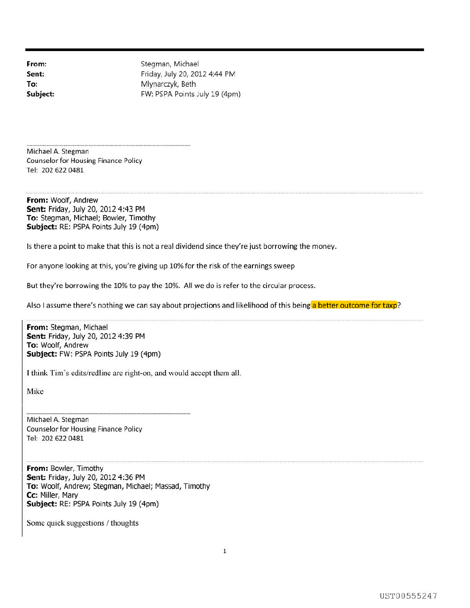**From: Sent: To: Subject:**  Stegman, Michael Friday, July 20, 2012 4:44 PM Mlynarczyk, Beth FW: PSPA Points July 19 (4pm)

Michael A. Stegman Counselor for Housing Finance Policy Tel: 202 622 0481

**From:** Woolf, Andrew **Sent:** Friday, July 20, 2012 4:43 PM **To:** Stegman, Michael; Bowler, Timothy **Subject:** RE: PSPA Points July 19 (4pm)

Is there a point to make that this is not a real dividend since they're just borrowing the money.

For anyone looking at this, you're giving up 10% for the risk of the earnings sweep

But they're borrowing the 10% to pay the 10%. All we do is refer to the circular process.

Also I assume there's nothing we can say about projections and likelihood of this being a better outcome for taxp?

**From:** Stegman, Michael **Sent:** Friday, July 20, 2012 4:39 PM **To:** Woolf, Andrew **Subject:** FW: PSPA Points July 19 (4pm)

I think Tim's edits/redline are right-on, and would accept them all.

Mike

Michael A. Stegman Counselor for Housing Finance Policy Tel: 202 622 0481

**From:** Bowler, Timothy **Sent:** Friday, July 20, 2012 4:36 PM **To:** Woolf, Andrew; Stegman, Michael; Massad, Timothy **Cc:** Miller, Mary **Subject:** RE: PSPA Points July 19 (4pm)

Some quick suggestions / thoughts